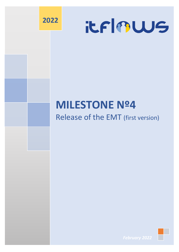



## **MILESTONE Nº4**

## Release of the EMT (first version)